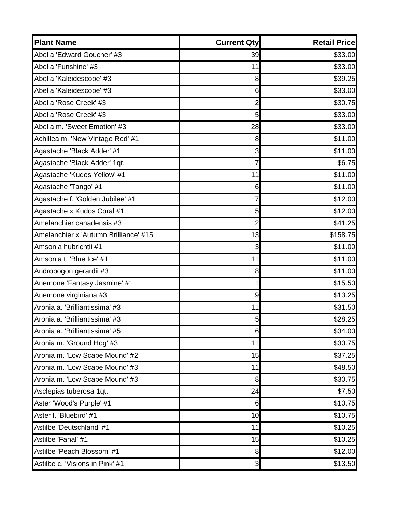| <b>Plant Name</b>                     | <b>Current Qty</b> | <b>Retail Pricel</b> |
|---------------------------------------|--------------------|----------------------|
| Abelia 'Edward Goucher' #3            | 39                 | \$33.00              |
| Abelia 'Funshine' #3                  | 11                 | \$33.00              |
| Abelia 'Kaleidescope' #3              | 8                  | \$39.25              |
| Abelia 'Kaleidescope' #3              | 6                  | \$33.00              |
| Abelia 'Rose Creek' #3                | 2                  | \$30.75              |
| Abelia 'Rose Creek' #3                | 5                  | \$33.00              |
| Abelia m. 'Sweet Emotion' #3          | 28                 | \$33.00              |
| Achillea m. 'New Vintage Red' #1      | 8                  | \$11.00              |
| Agastache 'Black Adder' #1            | 3                  | \$11.00              |
| Agastache 'Black Adder' 1qt.          | 7                  | \$6.75               |
| Agastache 'Kudos Yellow' #1           | 11                 | \$11.00              |
| Agastache 'Tango' #1                  | 6                  | \$11.00              |
| Agastache f. 'Golden Jubilee' #1      | 7                  | \$12.00              |
| Agastache x Kudos Coral #1            | 5                  | \$12.00              |
| Amelanchier canadensis #3             | 2                  | \$41.25              |
| Amelanchier x 'Autumn Brilliance' #15 | 13                 | \$158.75             |
| Amsonia hubrichtii #1                 | 3                  | \$11.00              |
| Amsonia t. 'Blue Ice' #1              | 11                 | \$11.00              |
| Andropogon gerardii #3                | 8                  | \$11.00              |
| Anemone 'Fantasy Jasmine' #1          | 1                  | \$15.50              |
| Anemone virginiana #3                 | 9                  | \$13.25              |
| Aronia a. 'Brilliantissima' #3        | 11                 | \$31.50              |
| Aronia a. 'Brilliantissima' #3        | 5                  | \$28.25              |
| Aronia a. 'Brilliantissima' #5        | 6                  | \$34.00              |
| Aronia m. 'Ground Hog' #3             | 11                 | \$30.75              |
| Aronia m. 'Low Scape Mound' #2        | 15                 | \$37.25              |
| Aronia m. 'Low Scape Mound' #3        | 11                 | \$48.50              |
| Aronia m. 'Low Scape Mound' #3        | 8                  | \$30.75              |
| Asclepias tuberosa 1qt.               | 24                 | \$7.50               |
| Aster 'Wood's Purple' #1              | 6                  | \$10.75              |
| Aster I. 'Bluebird' #1                | 10                 | \$10.75              |
| Astilbe 'Deutschland' #1              | 11                 | \$10.25              |
| Astilbe 'Fanal' #1                    | 15                 | \$10.25              |
| Astilbe 'Peach Blossom' #1            | 8                  | \$12.00              |
| Astilbe c. 'Visions in Pink' #1       | $\mathbf{3}$       | \$13.50              |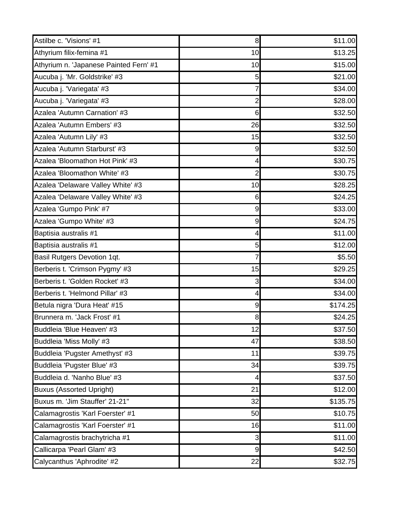| Astilbe c. 'Visions' #1                | 8                | \$11.00  |
|----------------------------------------|------------------|----------|
| Athyrium filix-femina #1               | 10               | \$13.25  |
| Athyrium n. 'Japanese Painted Fern' #1 | 10               | \$15.00  |
| Aucuba j. 'Mr. Goldstrike' #3          | 5                | \$21.00  |
| Aucuba j. 'Variegata' #3               | 7                | \$34.00  |
| Aucuba j. 'Variegata' #3               | $\overline{2}$   | \$28.00  |
| Azalea 'Autumn Carnation' #3           | 6                | \$32.50  |
| Azalea 'Autumn Embers' #3              | 26               | \$32.50  |
| Azalea 'Autumn Lily' #3                | 15               | \$32.50  |
| Azalea 'Autumn Starburst' #3           | 9                | \$32.50  |
| Azalea 'Bloomathon Hot Pink' #3        | 4                | \$30.75  |
| Azalea 'Bloomathon White' #3           | $\overline{2}$   | \$30.75  |
| Azalea 'Delaware Valley White' #3      | 10               | \$28.25  |
| Azalea 'Delaware Valley White' #3      | 6                | \$24.25  |
| Azalea 'Gumpo Pink' #7                 | $\boldsymbol{9}$ | \$33.00  |
| Azalea 'Gumpo White' #3                | 9                | \$24.75  |
| Baptisia australis #1                  | 4                | \$11.00  |
| Baptisia australis #1                  | 5                | \$12.00  |
| Basil Rutgers Devotion 1qt.            | 7                | \$5.50   |
| Berberis t. 'Crimson Pygmy' #3         | 15               | \$29.25  |
| Berberis t. 'Golden Rocket' #3         | 3                | \$34.00  |
| Berberis t. 'Helmond Pillar' #3        | 4                | \$34.00  |
| Betula nigra 'Dura Heat' #15           | $\boldsymbol{9}$ | \$174.25 |
| Brunnera m. 'Jack Frost' #1            | 8                | \$24.25  |
| Buddleia 'Blue Heaven' #3              | 12               | \$37.50  |
| Buddleia 'Miss Molly' #3               | 47               | \$38.50  |
| Buddleia 'Pugster Amethyst' #3         | 11               | \$39.75  |
| Buddleia 'Pugster Blue' #3             | 34               | \$39.75  |
| Buddleia d. 'Nanho Blue' #3            | 4                | \$37.50  |
| <b>Buxus (Assorted Upright)</b>        | 21               | \$12.00  |
| Buxus m. 'Jim Stauffer' 21-21"         | 32               | \$135.75 |
| Calamagrostis 'Karl Foerster' #1       | 50               | \$10.75  |
| Calamagrostis 'Karl Foerster' #1       | 16               | \$11.00  |
| Calamagrostis brachytricha #1          | 3                | \$11.00  |
| Callicarpa 'Pearl Glam' #3             | $\overline{9}$   | \$42.50  |
| Calycanthus 'Aphrodite' #2             | 22               | \$32.75  |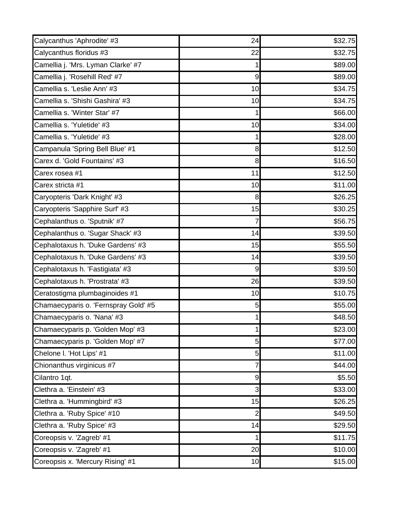| Calycanthus 'Aphrodite' #3           | 24             | \$32.75 |
|--------------------------------------|----------------|---------|
| Calycanthus floridus #3              | 22             | \$32.75 |
| Camellia j. 'Mrs. Lyman Clarke' #7   | 1              | \$89.00 |
| Camellia j. 'Rosehill Red' #7        | 9              | \$89.00 |
| Camellia s. 'Leslie Ann' #3          | 10             | \$34.75 |
| Camellia s. 'Shishi Gashira' #3      | 10             | \$34.75 |
| Camellia s. 'Winter Star' #7         |                | \$66.00 |
| Camellia s. 'Yuletide' #3            | 10             | \$34.00 |
| Camellia s. 'Yuletide' #3            |                | \$28.00 |
| Campanula 'Spring Bell Blue' #1      | 8              | \$12.50 |
| Carex d. 'Gold Fountains' #3         | 8              | \$16.50 |
| Carex rosea #1                       | 11             | \$12.50 |
| Carex stricta #1                     | 10             | \$11.00 |
| Caryopteris 'Dark Knight' #3         | 8              | \$26.25 |
| Caryopteris 'Sapphire Surf' #3       | 15             | \$30.25 |
| Cephalanthus o. 'Sputnik' #7         | 7              | \$56.75 |
| Cephalanthus o. 'Sugar Shack' #3     | 14             | \$39.50 |
| Cephalotaxus h. 'Duke Gardens' #3    | 15             | \$55.50 |
| Cephalotaxus h. 'Duke Gardens' #3    | 14             | \$39.50 |
| Cephalotaxus h. 'Fastigiata' #3      | 9              | \$39.50 |
| Cephalotaxus h. 'Prostrata' #3       | 26             | \$39.50 |
| Ceratostigma plumbaginoides #1       | 10             | \$10.75 |
| Chamaecyparis o. 'Fernspray Gold' #5 | 5              | \$55.00 |
| Chamaecyparis o. 'Nana' #3           | 1              | \$48.50 |
| Chamaecyparis p. 'Golden Mop' #3     | 1              | \$23.00 |
| Chamaecyparis p. 'Golden Mop' #7     | 5              | \$77.00 |
| Chelone I. 'Hot Lips' #1             | 5              | \$11.00 |
| Chionanthus virginicus #7            |                | \$44.00 |
| Cilantro 1qt.                        | 9              | \$5.50  |
| Clethra a. 'Einstein' #3             | 3              | \$33.00 |
| Clethra a. 'Hummingbird' #3          | 15             | \$26.25 |
| Clethra a. 'Ruby Spice' #10          | $\overline{2}$ | \$49.50 |
| Clethra a. 'Ruby Spice' #3           | 14             | \$29.50 |
| Coreopsis v. 'Zagreb' #1             | 1              | \$11.75 |
| Coreopsis v. 'Zagreb' #1             | 20             | \$10.00 |
| Coreopsis x. 'Mercury Rising' #1     | 10             | \$15.00 |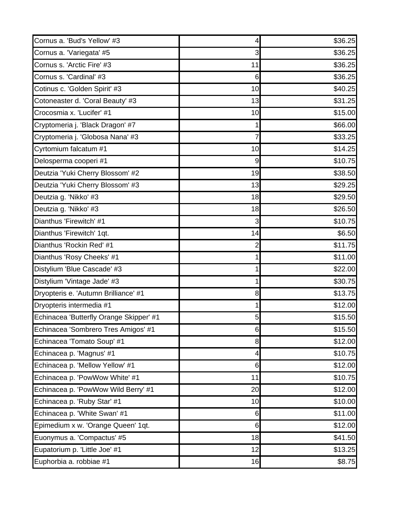| Cornus a. 'Bud's Yellow' #3             | 4              | \$36.25 |
|-----------------------------------------|----------------|---------|
| Cornus a. 'Variegata' #5                | 3              | \$36.25 |
| Cornus s. 'Arctic Fire' #3              | 11             | \$36.25 |
| Cornus s. 'Cardinal' #3                 | 6              | \$36.25 |
| Cotinus c. 'Golden Spirit' #3           | 10             | \$40.25 |
| Cotoneaster d. 'Coral Beauty' #3        | 13             | \$31.25 |
| Crocosmia x. 'Lucifer' #1               | 10             | \$15.00 |
| Cryptomeria j. 'Black Dragon' #7        |                | \$66.00 |
| Cryptomeria j. 'Globosa Nana' #3        | 7              | \$33.25 |
| Cyrtomium falcatum #1                   | 10             | \$14.25 |
| Delosperma cooperi #1                   | 9              | \$10.75 |
| Deutzia 'Yuki Cherry Blossom' #2        | 19             | \$38.50 |
| Deutzia 'Yuki Cherry Blossom' #3        | 13             | \$29.25 |
| Deutzia g. 'Nikko' #3                   | 18             | \$29.50 |
| Deutzia g. 'Nikko' #3                   | 18             | \$26.50 |
| Dianthus 'Firewitch' #1                 | 3              | \$10.75 |
| Dianthus 'Firewitch' 1qt.               | 14             | \$6.50  |
| Dianthus 'Rockin Red' #1                | 2              | \$11.75 |
| Dianthus 'Rosy Cheeks' #1               |                | \$11.00 |
| Distylium 'Blue Cascade' #3             |                | \$22.00 |
| Distylium 'Vintage Jade' #3             | 1              | \$30.75 |
| Dryopteris e. 'Autumn Brilliance' #1    | 8              | \$13.75 |
| Dryopteris intermedia #1                | 1              | \$12.00 |
| Echinacea 'Butterfly Orange Skipper' #1 | 5              | \$15.50 |
| Echinacea 'Sombrero Tres Amigos' #1     | 6              | \$15.50 |
| Echinacea 'Tomato Soup' #1              | 8 <sup>1</sup> | \$12.00 |
| Echinacea p. 'Magnus' #1                | 4              | \$10.75 |
| Echinacea p. 'Mellow Yellow' #1         | 6              | \$12.00 |
| Echinacea p. 'PowWow White' #1          | 11             | \$10.75 |
| Echinacea p. 'PowWow Wild Berry' #1     | 20             | \$12.00 |
| Echinacea p. 'Ruby Star' #1             | 10             | \$10.00 |
| Echinacea p. 'White Swan' #1            | 6              | \$11.00 |
| Epimedium x w. 'Orange Queen' 1qt.      | 6              | \$12.00 |
| Euonymus a. 'Compactus' #5              | 18             | \$41.50 |
| Eupatorium p. 'Little Joe' #1           | 12             | \$13.25 |
| Euphorbia a. robbiae #1                 | 16             | \$8.75  |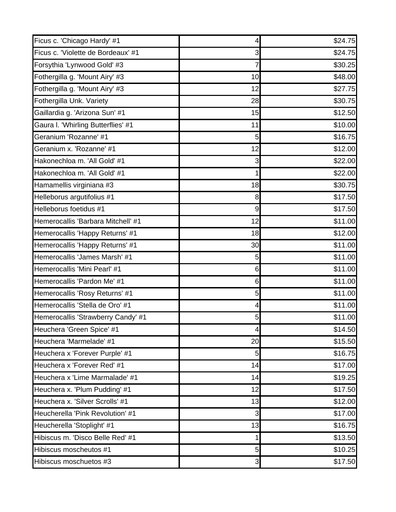| Ficus c. 'Chicago Hardy' #1        | 4            | \$24.75 |
|------------------------------------|--------------|---------|
| Ficus c. 'Violette de Bordeaux' #1 | 3            | \$24.75 |
| Forsythia 'Lynwood Gold' #3        | 7            | \$30.25 |
| Fothergilla g. 'Mount Airy' #3     | 10           | \$48.00 |
| Fothergilla g. 'Mount Airy' #3     | 12           | \$27.75 |
| Fothergilla Unk. Variety           | 28           | \$30.75 |
| Gaillardia g. 'Arizona Sun' #1     | 15           | \$12.50 |
| Gaura I. 'Whirling Butterflies' #1 | 11           | \$10.00 |
| Geranium 'Rozanne' #1              | 5            | \$16.75 |
| Geranium x. 'Rozanne' #1           | 12           | \$12.00 |
| Hakonechloa m. 'All Gold' #1       | 3            | \$22.00 |
| Hakonechloa m. 'All Gold' #1       | 1            | \$22.00 |
| Hamamellis virginiana #3           | 18           | \$30.75 |
| Helleborus argutifolius #1         | 8            | \$17.50 |
| Helleborus foetidus #1             | 9            | \$17.50 |
| Hemerocallis 'Barbara Mitchell' #1 | 12           | \$11.00 |
| Hemerocallis 'Happy Returns' #1    | 18           | \$12.00 |
| Hemerocallis 'Happy Returns' #1    | 30           | \$11.00 |
| Hemerocallis 'James Marsh' #1      | 5            | \$11.00 |
| Hemerocallis 'Mini Pearl' #1       | 6            | \$11.00 |
| Hemerocallis 'Pardon Me' #1        | 6            | \$11.00 |
| Hemerocallis 'Rosy Returns' #1     | 5            | \$11.00 |
| Hemerocallis 'Stella de Oro' #1    | 4            | \$11.00 |
| Hemerocallis 'Strawberry Candy' #1 | 5            | \$11.00 |
| Heuchera 'Green Spice' #1          | $\vert$      | \$14.50 |
| Heuchera 'Marmelade' #1            | 20           | \$15.50 |
| Heuchera x 'Forever Purple' #1     | 5            | \$16.75 |
| Heuchera x 'Forever Red' #1        | 14           | \$17.00 |
| Heuchera x 'Lime Marmalade' #1     | 14           | \$19.25 |
| Heuchera x. 'Plum Pudding' #1      | 12           | \$17.50 |
| Heuchera x. 'Silver Scrolls' #1    | 13           | \$12.00 |
| Heucherella 'Pink Revolution' #1   | 3            | \$17.00 |
| Heucherella 'Stoplight' #1         | 13           | \$16.75 |
| Hibiscus m. 'Disco Belle Red' #1   | 1            | \$13.50 |
| Hibiscus moscheutos #1             | 5            | \$10.25 |
| Hibiscus moschuetos #3             | $\mathbf{3}$ | \$17.50 |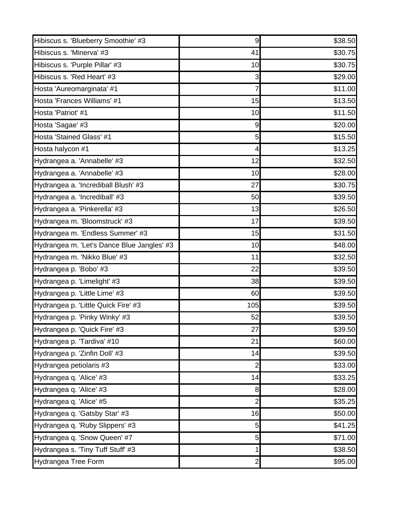| Hibiscus s. 'Blueberry Smoothie' #3        | 9              | \$38.50 |
|--------------------------------------------|----------------|---------|
| Hibiscus s. 'Minerva' #3                   | 41             | \$30.75 |
| Hibiscus s. 'Purple Pillar' #3             | 10             | \$30.75 |
| Hibiscus s. 'Red Heart' #3                 | 3              | \$29.00 |
| Hosta 'Aureomarginata' #1                  | 7              | \$11.00 |
| Hosta 'Frances Williams' #1                | 15             | \$13.50 |
| Hosta 'Patriot' #1                         | 10             | \$11.50 |
| Hosta 'Sagae' #3                           | 9              | \$20.00 |
| Hosta 'Stained Glass' #1                   | 5              | \$15.50 |
| Hosta halycon #1                           | 4              | \$13.25 |
| Hydrangea a. 'Annabelle' #3                | 12             | \$32.50 |
| Hydrangea a. 'Annabelle' #3                | 10             | \$28.00 |
| Hydrangea a. 'Incrediball Blush' #3        | 27             | \$30.75 |
| Hydrangea a. 'Incrediball' #3              | 50             | \$39.50 |
| Hydrangea a. 'Pinkerella' #3               | 13             | \$26.50 |
| Hydrangea m. 'Bloomstruck' #3              | 17             | \$39.50 |
| Hydrangea m. 'Endless Summer' #3           | 15             | \$31.50 |
| Hydrangea m. 'Let's Dance Blue Jangles' #3 | 10             | \$48.00 |
| Hydrangea m. 'Nikko Blue' #3               | 11             | \$32.50 |
| Hydrangea p. 'Bobo' #3                     | 22             | \$39.50 |
| Hydrangea p. 'Limelight' #3                | 38             | \$39.50 |
| Hydrangea p. 'Little Lime' #3              | 60             | \$39.50 |
| Hydrangea p. 'Little Quick Fire' #3        | 105            | \$39.50 |
| Hydrangea p. 'Pinky Winky' #3              | 52             | \$39.50 |
| Hydrangea p. 'Quick Fire' #3               | 27             | \$39.50 |
| Hydrangea p. 'Tardiva' #10                 | 21             | \$60.00 |
| Hydrangea p. 'Zinfin Doll' #3              | 14             | \$39.50 |
| Hydrangea petiolaris #3                    | $\overline{2}$ | \$33.00 |
| Hydrangea q. 'Alice' #3                    | 14             | \$33.25 |
| Hydrangea q. 'Alice' #3                    | 8              | \$28.00 |
| Hydrangea q. 'Alice' #5                    | $\overline{2}$ | \$35.25 |
| Hydrangea q. 'Gatsby Star' #3              | 16             | \$50.00 |
| Hydrangea q. 'Ruby Slippers' #3            | 5              | \$41.25 |
| Hydrangea q. 'Snow Queen' #7               | 5              | \$71.00 |
| Hydrangea s. 'Tiny Tuff Stuff' #3          | 1              | \$38.50 |
| Hydrangea Tree Form                        | $\overline{c}$ | \$95.00 |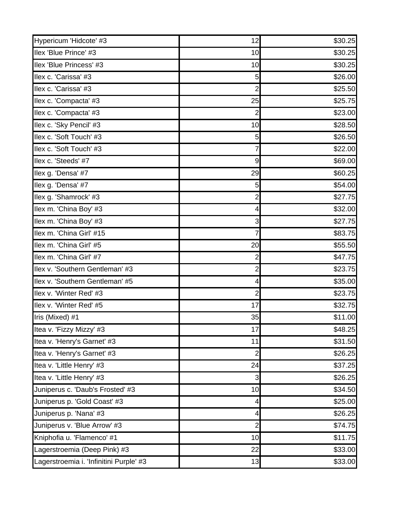| Hypericum 'Hidcote' #3                  | 12             | \$30.25 |
|-----------------------------------------|----------------|---------|
| Ilex 'Blue Prince' #3                   | 10             | \$30.25 |
| Ilex 'Blue Princess' #3                 | 10             | \$30.25 |
| Ilex c. 'Carissa' #3                    | 5              | \$26.00 |
| Ilex c. 'Carissa' #3                    | $\overline{2}$ | \$25.50 |
| Ilex c. 'Compacta' #3                   | 25             | \$25.75 |
| Ilex c. 'Compacta' #3                   | 2              | \$23.00 |
| Ilex c. 'Sky Pencil' #3                 | 10             | \$28.50 |
| Ilex c. 'Soft Touch' #3                 | 5              | \$26.50 |
| Ilex c. 'Soft Touch' #3                 |                | \$22.00 |
| Ilex c. 'Steeds' #7                     | 9              | \$69.00 |
| Ilex g. 'Densa' #7                      | 29             | \$60.25 |
| Ilex g. 'Densa' #7                      | 5              | \$54.00 |
| Ilex g. 'Shamrock' #3                   | $\overline{2}$ | \$27.75 |
| Ilex m. 'China Boy' #3                  | 4              | \$32.00 |
| Ilex m. 'China Boy' #3                  | 3              | \$27.75 |
| Ilex m. 'China Girl' #15                | 7              | \$83.75 |
| Ilex m. 'China Girl' #5                 | 20             | \$55.50 |
| Ilex m. 'China Girl' #7                 | 2              | \$47.75 |
| Ilex v. 'Southern Gentleman' #3         | 2              | \$23.75 |
| Ilex v. 'Southern Gentleman' #5         | 4              | \$35.00 |
| Ilex v. 'Winter Red' #3                 | 2              | \$23.75 |
| Ilex v. 'Winter Red' #5                 | 17             | \$32.75 |
| Iris (Mixed) #1                         | 35             | \$11.00 |
| Itea v. 'Fizzy Mizzy' #3                | 17             | \$48.25 |
| Itea v. 'Henry's Garnet' #3             | 11             | \$31.50 |
| Itea v. 'Henry's Garnet' #3             | $\overline{2}$ | \$26.25 |
| Itea v. 'Little Henry' #3               | 24             | \$37.25 |
| Itea v. 'Little Henry' #3               | 3              | \$26.25 |
| Juniperus c. 'Daub's Frosted' #3        | 10             | \$34.50 |
| Juniperus p. 'Gold Coast' #3            | 4              | \$25.00 |
| Juniperus p. 'Nana' #3                  | 4              | \$26.25 |
| Juniperus v. 'Blue Arrow' #3            | $\overline{2}$ | \$74.75 |
| Kniphofia u. 'Flamenco' #1              | 10             | \$11.75 |
| Lagerstroemia (Deep Pink) #3            | 22             | \$33.00 |
| Lagerstroemia i. 'Infinitini Purple' #3 | 13             | \$33.00 |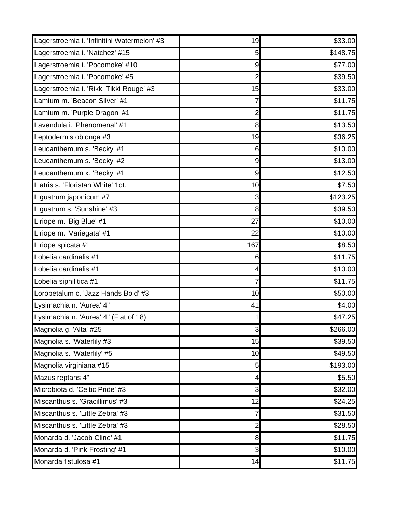| Lagerstroemia i. 'Infinitini Watermelon' #3 | 19                      | \$33.00  |
|---------------------------------------------|-------------------------|----------|
| Lagerstroemia i. 'Natchez' #15              | 5                       | \$148.75 |
| Lagerstroemia i. 'Pocomoke' #10             | 9                       | \$77.00  |
| Lagerstroemia i. 'Pocomoke' #5              | $\overline{2}$          | \$39.50  |
| Lagerstroemia i. 'Rikki Tikki Rouge' #3     | 15                      | \$33.00  |
| Lamium m. 'Beacon Silver' #1                | 7                       | \$11.75  |
| Lamium m. 'Purple Dragon' #1                | 2                       | \$11.75  |
| Lavendula i. 'Phenomenal' #1                | 8                       | \$13.50  |
| Leptodermis oblonga #3                      | 19                      | \$36.25  |
| Leucanthemum s. 'Becky' #1                  | 6                       | \$10.00  |
| Leucanthemum s. 'Becky' #2                  | $\boldsymbol{9}$        | \$13.00  |
| Leucanthemum x. 'Becky' #1                  | $9\,$                   | \$12.50  |
| Liatris s. 'Floristan White' 1qt.           | 10                      | \$7.50   |
| Ligustrum japonicum #7                      | 3                       | \$123.25 |
| Ligustrum s. 'Sunshine' #3                  | 8                       | \$39.50  |
| Liriope m. 'Big Blue' #1                    | 27                      | \$10.00  |
| Liriope m. 'Variegata' #1                   | 22                      | \$10.00  |
| Liriope spicata #1                          | 167                     | \$8.50   |
| Lobelia cardinalis #1                       | 6                       | \$11.75  |
| Lobelia cardinalis #1                       | 4                       | \$10.00  |
| Lobelia siphilitica #1                      | 7                       | \$11.75  |
| Loropetalum c. 'Jazz Hands Bold' #3         | 10                      | \$50.00  |
| Lysimachia n. 'Aurea' 4"                    | 41                      | \$4.00   |
| Lysimachia n. 'Aurea' 4" (Flat of 18)       | 1                       | \$47.25  |
| Magnolia g. 'Alta' #25                      | $\overline{\mathbf{3}}$ | \$266.00 |
| Magnolia s. 'Waterlily #3                   | 15                      | \$39.50  |
| Magnolia s. 'Waterlily' #5                  | 10                      | \$49.50  |
| Magnolia virginiana #15                     | 5                       | \$193.00 |
| Mazus reptans 4"                            | 4                       | \$5.50   |
| Microbiota d. 'Celtic Pride' #3             | 3                       | \$32.00  |
| Miscanthus s. 'Gracillimus' #3              | 12                      | \$24.25  |
| Miscanthus s. 'Little Zebra' #3             | 7                       | \$31.50  |
| Miscanthus s. 'Little Zebra' #3             | 2                       | \$28.50  |
| Monarda d. 'Jacob Cline' #1                 | 8                       | \$11.75  |
| Monarda d. 'Pink Frosting' #1               | $\overline{3}$          | \$10.00  |
| Monarda fistulosa #1                        | 14                      | \$11.75  |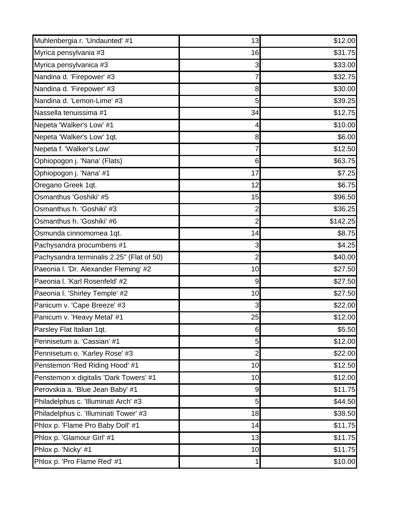| Muhlenbergia r. 'Undaunted' #1            | 13             | \$12.00  |
|-------------------------------------------|----------------|----------|
| Myrica pensylvania #3                     | 16             | \$31.75  |
| Myrica pensylvanica #3                    | 3              | \$33.00  |
| Nandina d. 'Firepower' #3                 | 7              | \$32.75  |
| Nandina d. 'Firepower' #3                 | 8              | \$30.00  |
| Nandina d. 'Lemon-Lime' #3                | 5              | \$39.25  |
| Nassella tenuissima #1                    | 34             | \$12.75  |
| Nepeta 'Walker's Low' #1                  | 4              | \$10.00  |
| Nepeta 'Walker's Low' 1qt.                | 8              | \$6.00   |
| Nepeta f. 'Walker's Low'                  | 7              | \$12.50  |
| Ophiopogon j. 'Nana' (Flats)              | 6              | \$63.75  |
| Ophiopogon j. 'Nana' #1                   | 17             | \$7.25   |
| Oregano Greek 1qt.                        | 12             | \$6.75   |
| Osmanthus 'Goshiki' #5                    | 15             | \$96.50  |
| Osmanthus h. 'Goshiki' #3                 | $\overline{2}$ | \$36.25  |
| Osmanthus h. 'Goshiki' #6                 | $\overline{2}$ | \$142.25 |
| Osmunda cinnomomea 1qt.                   | 14             | \$8.75   |
| Pachysandra procumbens #1                 | 3              | \$4.25   |
| Pachysandra terminalis 2.25" (Flat of 50) | $\overline{2}$ | \$40.00  |
| Paeonia I. 'Dr. Alexander Fleming' #2     | 10             | \$27.50  |
| Paeonia I. 'Karl Rosenfeld' #2            | 9              | \$27.50  |
| Paeonia I. 'Shirley Temple' #2            | 10             | \$27.50  |
| Panicum v. 'Cape Breeze' #3               | 3              | \$22.00  |
| Panicum v. 'Heavy Metal' #1               | 25             | \$12.00  |
| Parsley Flat Italian 1qt.                 | 6              | \$5.50   |
| Pennisetum a. 'Cassian' #1                | 5              | \$12.00  |
| Pennisetum o. 'Karley Rose' #3            | $\overline{2}$ | \$22.00  |
| Penstemon 'Red Riding Hood' #1            | 10             | \$12.50  |
| Penstemon x digitalis 'Dark Towers' #1    | 10             | \$12.00  |
| Perovskia a. 'Blue Jean Baby' #1          | 9              | \$11.75  |
| Philadelphus c. 'Illuminati Arch' #3      | 5              | \$44.50  |
| Philadelphus c. 'Illuminati Tower' #3     | 18             | \$38.50  |
| Phlox p. 'Flame Pro Baby Doll' #1         | 14             | \$11.75  |
| Phlox p. 'Glamour Girl' #1                | 13             | \$11.75  |
| Phlox p. 'Nicky' #1                       | 10             | \$11.75  |
| Phlox p. 'Pro Flame Red' #1               | 1              | \$10.00  |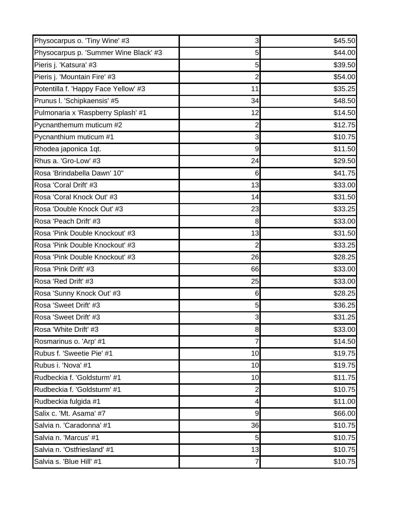| Physocarpus o. 'Tiny Wine' #3         | 3              | \$45.50 |
|---------------------------------------|----------------|---------|
| Physocarpus p. 'Summer Wine Black' #3 | 5              | \$44.00 |
| Pieris j. 'Katsura' #3                | 5              | \$39.50 |
| Pieris j. 'Mountain Fire' #3          | $\overline{2}$ | \$54.00 |
| Potentilla f. 'Happy Face Yellow' #3  | 11             | \$35.25 |
| Prunus I. 'Schipkaensis' #5           | 34             | \$48.50 |
| Pulmonaria x 'Raspberry Splash' #1    | 12             | \$14.50 |
| Pycnanthemum muticum #2               | 2              | \$12.75 |
| Pycnanthium muticum #1                | 3              | \$10.75 |
| Rhodea japonica 1qt.                  | 9              | \$11.50 |
| Rhus a. 'Gro-Low' #3                  | 24             | \$29.50 |
| Rosa 'Brindabella Dawn' 10"           | 6              | \$41.75 |
| Rosa 'Coral Drift' #3                 | 13             | \$33.00 |
| Rosa 'Coral Knock Out' #3             | 14             | \$31.50 |
| Rosa 'Double Knock Out' #3            | 23             | \$33.25 |
| Rosa 'Peach Drift' #3                 | 8              | \$33.00 |
| Rosa 'Pink Double Knockout' #3        | 13             | \$31.50 |
| Rosa 'Pink Double Knockout' #3        | $\overline{2}$ | \$33.25 |
| Rosa 'Pink Double Knockout' #3        | 26             | \$28.25 |
| Rosa 'Pink Drift' #3                  | 66             | \$33.00 |
| Rosa 'Red Drift' #3                   | 25             | \$33.00 |
| Rosa 'Sunny Knock Out' #3             | 6              | \$28.25 |
| Rosa 'Sweet Drift' #3                 | 5              | \$36.25 |
| Rosa 'Sweet Drift' #3                 | 3              | \$31.25 |
| Rosa 'White Drift' #3                 | 8 <sup>0</sup> | \$33.00 |
| Rosmarinus o. 'Arp' #1                | 7              | \$14.50 |
| Rubus f. 'Sweetie Pie' #1             | 10             | \$19.75 |
| Rubus i. 'Nova' #1                    | 10             | \$19.75 |
| Rudbeckia f. 'Goldsturm' #1           | 10             | \$11.75 |
| Rudbeckia f. 'Goldsturm' #1           | $\overline{2}$ | \$10.75 |
| Rudbeckia fulgida #1                  | 4              | \$11.00 |
| Salix c. 'Mt. Asama' #7               | 9              | \$66.00 |
| Salvia n. 'Caradonna' #1              | 36             | \$10.75 |
| Salvia n. 'Marcus' #1                 | 5              | \$10.75 |
| Salvia n. 'Ostfriesland' #1           | 13             | \$10.75 |
| Salvia s. 'Blue Hill' #1              | $\overline{7}$ | \$10.75 |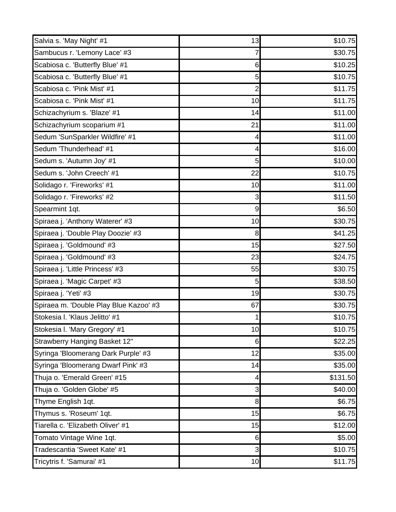| Salvia s. 'May Night' #1               | 13               | \$10.75  |
|----------------------------------------|------------------|----------|
| Sambucus r. 'Lemony Lace' #3           |                  | \$30.75  |
| Scabiosa c. 'Butterfly Blue' #1        | 6                | \$10.25  |
| Scabiosa c. 'Butterfly Blue' #1        | 5                | \$10.75  |
| Scabiosa c. 'Pink Mist' #1             | 2                | \$11.75  |
| Scabiosa c. 'Pink Mist' #1             | 10               | \$11.75  |
| Schizachyrium s. 'Blaze' #1            | 14               | \$11.00  |
| Schizachyrium scoparium #1             | 21               | \$11.00  |
| Sedum 'SunSparkler Wildfire' #1        | 4                | \$11.00  |
| Sedum 'Thunderhead' #1                 | 4                | \$16.00  |
| Sedum s. 'Autumn Joy' #1               | 5                | \$10.00  |
| Sedum s. 'John Creech' #1              | 22               | \$10.75  |
| Solidago r. 'Fireworks' #1             | 10               | \$11.00  |
| Solidago r. 'Fireworks' #2             | 3                | \$11.50  |
| Spearmint 1qt.                         | $\boldsymbol{9}$ | \$6.50   |
| Spiraea j. 'Anthony Waterer' #3        | 10               | \$30.75  |
| Spiraea j. 'Double Play Doozie' #3     | 8                | \$41.25  |
| Spiraea j. 'Goldmound' #3              | 15               | \$27.50  |
| Spiraea j. 'Goldmound' #3              | 23               | \$24.75  |
| Spiraea j. 'Little Princess' #3        | 55               | \$30.75  |
| Spiraea j. 'Magic Carpet' #3           | 5                | \$38.50  |
| Spiraea j. 'Yeti' #3                   | 19               | \$30.75  |
| Spiraea m. 'Double Play Blue Kazoo' #3 | 67               | \$30.75  |
| Stokesia I. 'Klaus Jelitto' #1         |                  | \$10.75  |
| Stokesia I. 'Mary Gregory' #1          | 10 <sub>l</sub>  | \$10.75  |
| Strawberry Hanging Basket 12"          | 6                | \$22.25  |
| Syringa 'Bloomerang Dark Purple' #3    | 12               | \$35.00  |
| Syringa 'Bloomerang Dwarf Pink' #3     | 14               | \$35.00  |
| Thuja o. 'Emerald Green' #15           | 4                | \$131.50 |
| Thuja o. 'Golden Globe' #5             | 3                | \$40.00  |
| Thyme English 1qt.                     | 8                | \$6.75   |
| Thymus s. 'Roseum' 1qt.                | 15               | \$6.75   |
| Tiarella c. 'Elizabeth Oliver' #1      | 15               | \$12.00  |
| Tomato Vintage Wine 1qt.               | 6                | \$5.00   |
| Tradescantia 'Sweet Kate' #1           | $\overline{3}$   | \$10.75  |
| Tricytris f. 'Samurai' #1              | 10               | \$11.75  |